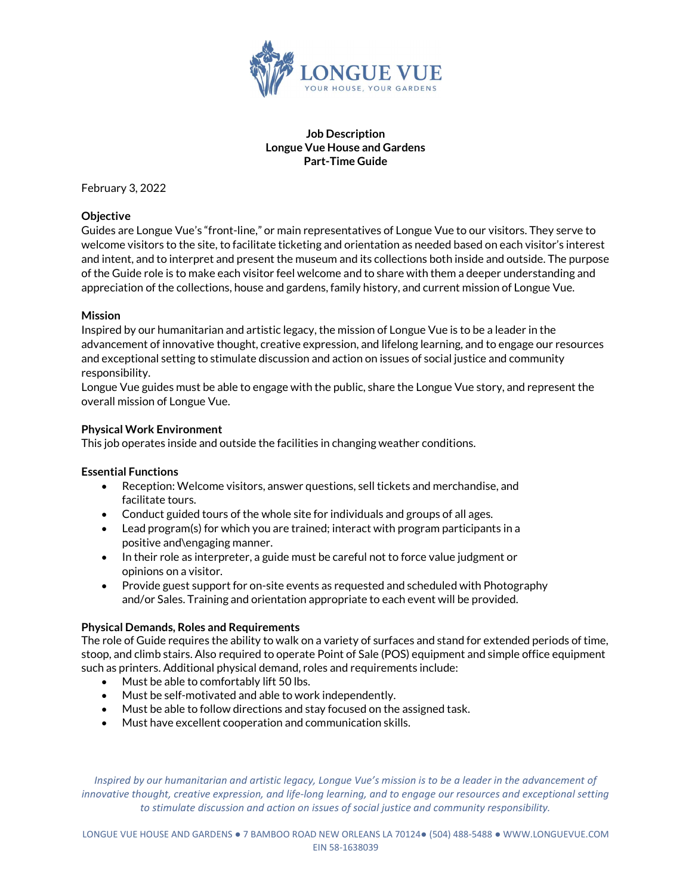

### Job Description Longue Vue House and Gardens Part-Time Guide

February 3, 2022

## **Objective**

Guides are Longue Vue's "front-line," or main representatives of Longue Vue to our visitors. They serve to welcome visitors to the site, to facilitate ticketing and orientation as needed based on each visitor's interest and intent, and to interpret and present the museum and its collections both inside and outside. The purpose of the Guide role is to make each visitor feel welcome and to share with them a deeper understanding and appreciation of the collections, house and gardens, family history, and current mission of Longue Vue.

## Mission

Inspired by our humanitarian and artistic legacy, the mission of Longue Vue is to be a leader in the advancement of innovative thought, creative expression, and lifelong learning, and to engage our resources and exceptional setting to stimulate discussion and action on issues of social justice and community responsibility.

Longue Vue guides must be able to engage with the public, share the Longue Vue story, and represent the overall mission of Longue Vue.

#### Physical Work Environment

This job operates inside and outside the facilities in changing weather conditions.

#### Essential Functions

- Reception: Welcome visitors, answer questions, sell tickets and merchandise, and facilitate tours.
- Conduct guided tours of the whole site for individuals and groups of all ages.
- Lead program(s) for which you are trained; interact with program participants in a positive and\engaging manner.
- In their role as interpreter, a guide must be careful not to force value judgment or opinions on a visitor.
- Provide guest support for on-site events as requested and scheduled with Photography and/or Sales. Training and orientation appropriate to each event will be provided.

# Physical Demands, Roles and Requirements

The role of Guide requires the ability to walk on a variety of surfaces and stand for extended periods of time, stoop, and climb stairs. Also required to operate Point of Sale (POS) equipment and simple office equipment such as printers. Additional physical demand, roles and requirements include:

- Must be able to comfortably lift 50 lbs.
- Must be self-motivated and able to work independently.
- Must be able to follow directions and stay focused on the assigned task.
- Must have excellent cooperation and communication skills.

Inspired by our humanitarian and artistic legacy, Longue Vue's mission is to be a leader in the advancement of innovative thought, creative expression, and life-long learning, and to engage our resources and exceptional setting to stimulate discussion and action on issues of social justice and community responsibility.